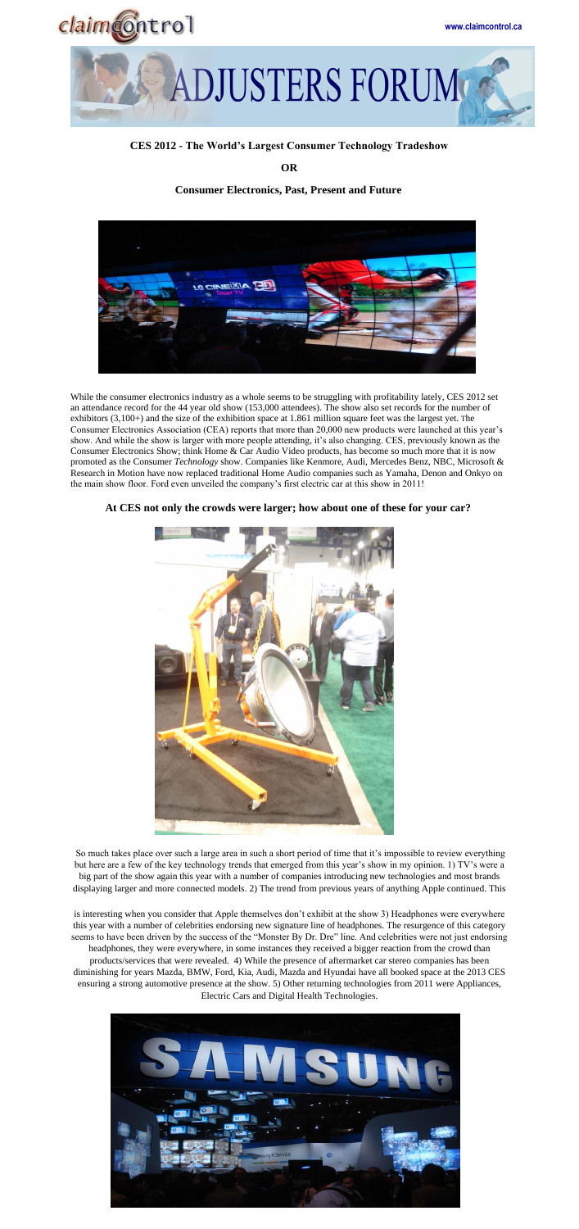



## **CES 2012 - The World's Largest Consumer Technology Tradeshow**

**OR** 

## **Consumer Electronics, Past, Present and Future**



While the consumer electronics industry as a whole seems to be struggling with profitability lately, CES 2012 set an attendance record for the 44 year old show (153,000 attendees). The show also set records for the number of exhibitors (3,100+) and the size of the exhibition space at 1.861 million square feet was the largest yet. The Consumer Electronics Association (CEA) reports that more than 20,000 new products were launched at this year's show. And while the show is larger with more people attending, it's also changing. CES, previously known as the Consumer Electronics Show; think Home & Car Audio Video products, has become so much more that it is now promoted as the Consumer *Technology* show. Companies like Kenmore, Audi, Mercedes Benz, NBC, Microsoft & Research in Motion have now replaced traditional Home Audio companies such as Yamaha, Denon and Onkyo on the main show floor. Ford even unveiled the company's first electric car at this show in 2011!



## **At CES not only the crowds were larger; how about one of these for your car?**

So much takes place over such a large area in such a short period of time that it's impossible to review everything but here are a few of the key technology trends that emerged from this year's show in my opinion. 1) TV's were a big part of the show again this year with a number of companies introducing new technologies and most brands displaying larger and more connected models. 2) The trend from previous years of anything Apple continued. This

is interesting when you consider that Apple themselves don't exhibit at the show 3) Headphones were everywhere this year with a number of celebrities endorsing new signature line of headphones. The resurgence of this category seems to have been driven by the success of the "Monster By Dr. Dre" line. And celebrities were not just endorsing headphones, they were everywhere, in some instances they received a bigger reaction from the crowd than products/services that were revealed. 4) While the presence of aftermarket car stereo companies has been diminishing for years Mazda, BMW, Ford, Kia, Audi, Mazda and Hyundai have all booked space at the 2013 CES ensuring a strong automotive presence at the show. 5) Other returning technologies from 2011 were Appliances, Electric Cars and Digital Health Technologies.